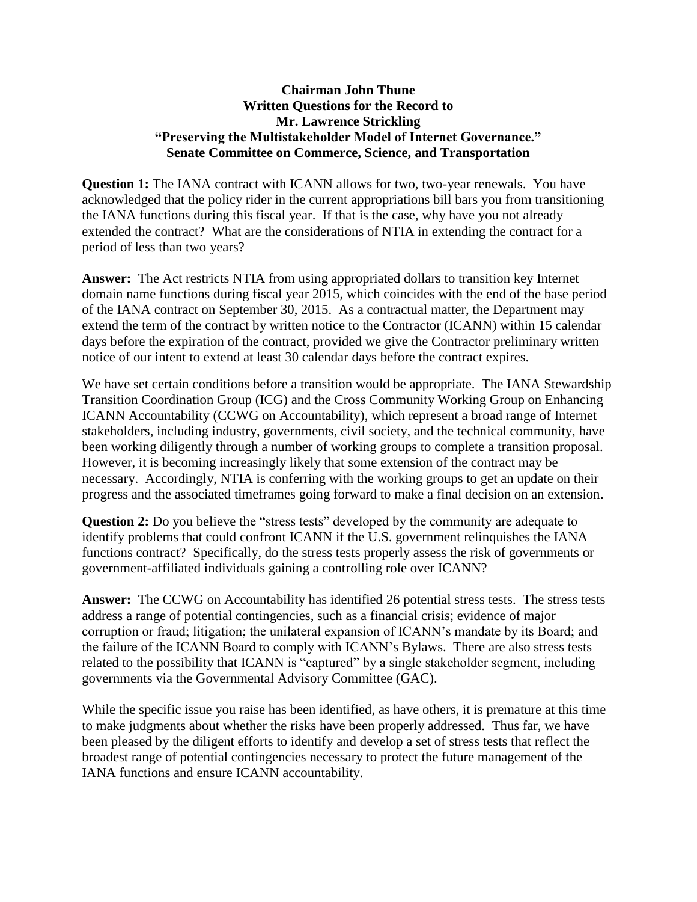## **Chairman John Thune Written Questions for the Record to Mr. Lawrence Strickling "Preserving the Multistakeholder Model of Internet Governance." Senate Committee on Commerce, Science, and Transportation**

**Question 1:** The IANA contract with ICANN allows for two, two-year renewals. You have acknowledged that the policy rider in the current appropriations bill bars you from transitioning the IANA functions during this fiscal year. If that is the case, why have you not already extended the contract? What are the considerations of NTIA in extending the contract for a period of less than two years?

**Answer:** The Act restricts NTIA from using appropriated dollars to transition key Internet domain name functions during fiscal year 2015, which coincides with the end of the base period of the IANA contract on September 30, 2015. As a contractual matter, the Department may extend the term of the contract by written notice to the Contractor (ICANN) within 15 calendar days before the expiration of the contract, provided we give the Contractor preliminary written notice of our intent to extend at least 30 calendar days before the contract expires.

We have set certain conditions before a transition would be appropriate. The IANA Stewardship Transition Coordination Group (ICG) and the Cross Community Working Group on Enhancing ICANN Accountability (CCWG on Accountability), which represent a broad range of Internet stakeholders, including industry, governments, civil society, and the technical community, have been working diligently through a number of working groups to complete a transition proposal. However, it is becoming increasingly likely that some extension of the contract may be necessary. Accordingly, NTIA is conferring with the working groups to get an update on their progress and the associated timeframes going forward to make a final decision on an extension.

**Question 2:** Do you believe the "stress tests" developed by the community are adequate to identify problems that could confront ICANN if the U.S. government relinquishes the IANA functions contract? Specifically, do the stress tests properly assess the risk of governments or government-affiliated individuals gaining a controlling role over ICANN?

**Answer:** The CCWG on Accountability has identified 26 potential stress tests. The stress tests address a range of potential contingencies, such as a financial crisis; evidence of major corruption or fraud; litigation; the unilateral expansion of ICANN's mandate by its Board; and the failure of the ICANN Board to comply with ICANN's Bylaws. There are also stress tests related to the possibility that ICANN is "captured" by a single stakeholder segment, including governments via the Governmental Advisory Committee (GAC).

While the specific issue you raise has been identified, as have others, it is premature at this time to make judgments about whether the risks have been properly addressed. Thus far, we have been pleased by the diligent efforts to identify and develop a set of stress tests that reflect the broadest range of potential contingencies necessary to protect the future management of the IANA functions and ensure ICANN accountability.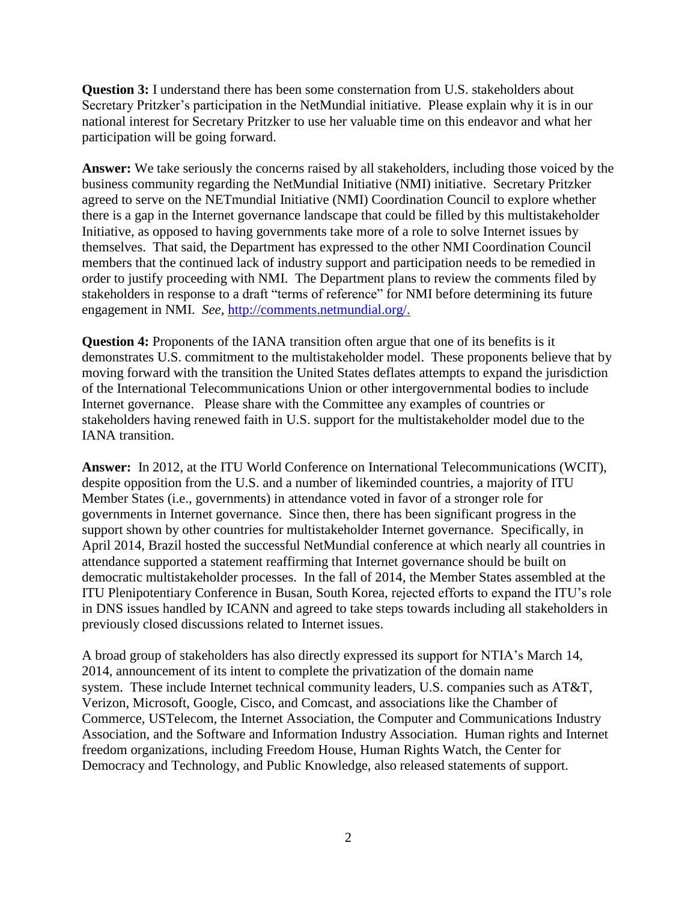**Question 3:** I understand there has been some consternation from U.S. stakeholders about Secretary Pritzker's participation in the NetMundial initiative. Please explain why it is in our national interest for Secretary Pritzker to use her valuable time on this endeavor and what her participation will be going forward.

**Answer:** We take seriously the concerns raised by all stakeholders, including those voiced by the business community regarding the NetMundial Initiative (NMI) initiative. Secretary Pritzker agreed to serve on the NETmundial Initiative (NMI) Coordination Council to explore whether there is a gap in the Internet governance landscape that could be filled by this multistakeholder Initiative, as opposed to having governments take more of a role to solve Internet issues by themselves. That said, the Department has expressed to the other NMI Coordination Council members that the continued lack of industry support and participation needs to be remedied in order to justify proceeding with NMI. The Department plans to review the comments filed by stakeholders in response to a draft "terms of reference" for NMI before determining its future engagement in NMI. *See,* [http://comments.netmundial.org/.](http://comments.netmundial.org/)

**Question 4:** Proponents of the IANA transition often argue that one of its benefits is it demonstrates U.S. commitment to the multistakeholder model. These proponents believe that by moving forward with the transition the United States deflates attempts to expand the jurisdiction of the International Telecommunications Union or other intergovernmental bodies to include Internet governance. Please share with the Committee any examples of countries or stakeholders having renewed faith in U.S. support for the multistakeholder model due to the IANA transition.

**Answer:** In 2012, at the ITU World Conference on International Telecommunications (WCIT), despite opposition from the U.S. and a number of likeminded countries, a majority of ITU Member States (i.e., governments) in attendance voted in favor of a stronger role for governments in Internet governance. Since then, there has been significant progress in the support shown by other countries for multistakeholder Internet governance. Specifically, in April 2014, Brazil hosted the successful NetMundial conference at which nearly all countries in attendance supported a statement reaffirming that Internet governance should be built on democratic multistakeholder processes. In the fall of 2014, the Member States assembled at the ITU Plenipotentiary Conference in Busan, South Korea, rejected efforts to expand the ITU's role in DNS issues handled by ICANN and agreed to take steps towards including all stakeholders in previously closed discussions related to Internet issues.

A broad group of stakeholders has also directly expressed its support for NTIA's March 14, 2014, announcement of its intent to complete the privatization of the domain name system. These include Internet technical community leaders, U.S. companies such as AT&T, Verizon, Microsoft, Google, Cisco, and Comcast, and associations like the Chamber of Commerce, USTelecom, the Internet Association, the Computer and Communications Industry Association, and the Software and Information Industry Association. Human rights and Internet freedom organizations, including Freedom House, Human Rights Watch, the Center for Democracy and Technology, and Public Knowledge, also released statements of support.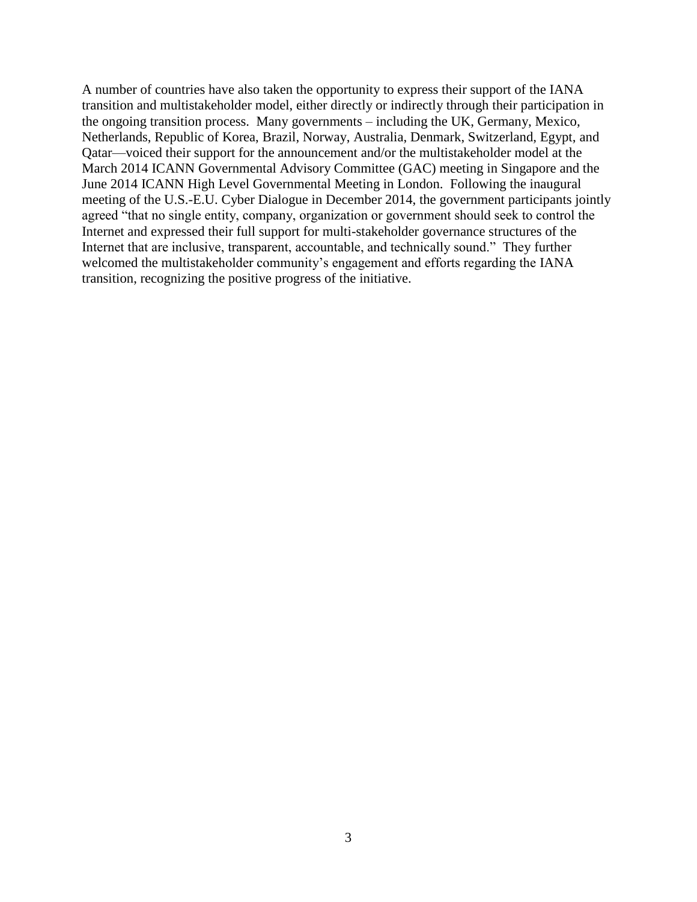A number of countries have also taken the opportunity to express their support of the IANA transition and multistakeholder model, either directly or indirectly through their participation in the ongoing transition process. Many governments – including the UK, Germany, Mexico, Netherlands, Republic of Korea, Brazil, Norway, Australia, Denmark, Switzerland, Egypt, and Qatar—voiced their support for the announcement and/or the multistakeholder model at the March 2014 ICANN Governmental Advisory Committee (GAC) meeting in Singapore and the June 2014 ICANN High Level Governmental Meeting in London. Following the inaugural meeting of the U.S.-E.U. Cyber Dialogue in December 2014, the government participants jointly agreed "that no single entity, company, organization or government should seek to control the Internet and expressed their full support for multi-stakeholder governance structures of the Internet that are inclusive, transparent, accountable, and technically sound." They further welcomed the multistakeholder community's engagement and efforts regarding the IANA transition, recognizing the positive progress of the initiative.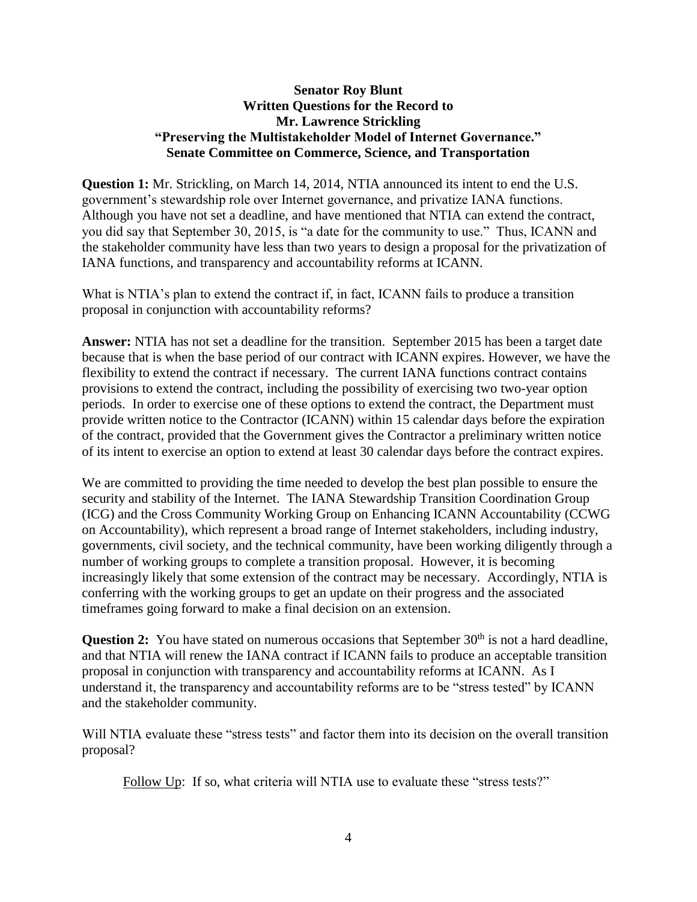## **Senator Roy Blunt Written Questions for the Record to Mr. Lawrence Strickling "Preserving the Multistakeholder Model of Internet Governance." Senate Committee on Commerce, Science, and Transportation**

**Question 1:** Mr. Strickling, on March 14, 2014, NTIA announced its intent to end the U.S. government's stewardship role over Internet governance, and privatize IANA functions. Although you have not set a deadline, and have mentioned that NTIA can extend the contract, you did say that September 30, 2015, is "a date for the community to use." Thus, ICANN and the stakeholder community have less than two years to design a proposal for the privatization of IANA functions, and transparency and accountability reforms at ICANN.

What is NTIA's plan to extend the contract if, in fact, ICANN fails to produce a transition proposal in conjunction with accountability reforms?

**Answer:** NTIA has not set a deadline for the transition. September 2015 has been a target date because that is when the base period of our contract with ICANN expires. However, we have the flexibility to extend the contract if necessary. The current IANA functions contract contains provisions to extend the contract, including the possibility of exercising two two-year option periods. In order to exercise one of these options to extend the contract, the Department must provide written notice to the Contractor (ICANN) within 15 calendar days before the expiration of the contract, provided that the Government gives the Contractor a preliminary written notice of its intent to exercise an option to extend at least 30 calendar days before the contract expires.

We are committed to providing the time needed to develop the best plan possible to ensure the security and stability of the Internet. The IANA Stewardship Transition Coordination Group (ICG) and the Cross Community Working Group on Enhancing ICANN Accountability (CCWG on Accountability), which represent a broad range of Internet stakeholders, including industry, governments, civil society, and the technical community, have been working diligently through a number of working groups to complete a transition proposal. However, it is becoming increasingly likely that some extension of the contract may be necessary. Accordingly, NTIA is conferring with the working groups to get an update on their progress and the associated timeframes going forward to make a final decision on an extension.

**Question 2:** You have stated on numerous occasions that September 30<sup>th</sup> is not a hard deadline. and that NTIA will renew the IANA contract if ICANN fails to produce an acceptable transition proposal in conjunction with transparency and accountability reforms at ICANN. As I understand it, the transparency and accountability reforms are to be "stress tested" by ICANN and the stakeholder community.

Will NTIA evaluate these "stress tests" and factor them into its decision on the overall transition proposal?

Follow Up: If so, what criteria will NTIA use to evaluate these "stress tests?"